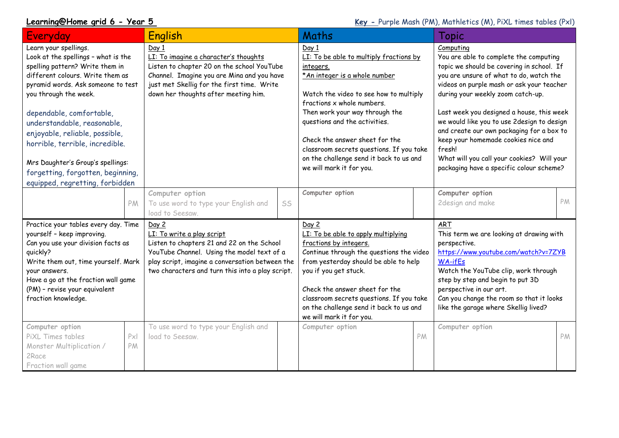**Learning@Home grid 6 - Year 5 Key - Purple Mash (PM), Mathletics (M), PiXL times tables (PxI)** 

| Everyday                                                                                                                                                                                                                                                                                                                                                                                                                                        | English                                                                                                                                                                                                                                |    | Maths                                                                                                                                                                                                                                                                                                                                                                                          |    | <b>Topic</b>                                                                                                                                                                                                                                                                                                                                                                                                                                                                                                     |    |
|-------------------------------------------------------------------------------------------------------------------------------------------------------------------------------------------------------------------------------------------------------------------------------------------------------------------------------------------------------------------------------------------------------------------------------------------------|----------------------------------------------------------------------------------------------------------------------------------------------------------------------------------------------------------------------------------------|----|------------------------------------------------------------------------------------------------------------------------------------------------------------------------------------------------------------------------------------------------------------------------------------------------------------------------------------------------------------------------------------------------|----|------------------------------------------------------------------------------------------------------------------------------------------------------------------------------------------------------------------------------------------------------------------------------------------------------------------------------------------------------------------------------------------------------------------------------------------------------------------------------------------------------------------|----|
| Learn your spellings.<br>Look at the spellings - what is the<br>spelling pattern? Write them in<br>different colours. Write them as<br>pyramid words. Ask someone to test<br>you through the week.<br>dependable, comfortable,<br>understandable, reasonable,<br>enjoyable, reliable, possible,<br>horrible, terrible, incredible.<br>Mrs Daughter's Group's spellings:<br>forgetting, forgotten, beginning,<br>equipped, regretting, forbidden | Day 1<br>LI: To imagine a character's thoughts<br>Listen to chapter 20 on the school YouTube<br>Channel. Imagine you are Mina and you have<br>just met Skellig for the first time. Write<br>down her thoughts after meeting him.       |    | Day 1<br>LI: To be able to multiply fractions by<br>integers.<br>*An integer is a whole number<br>Watch the video to see how to multiply<br>fractions x whole numbers.<br>Then work your way through the<br>questions and the activities.<br>Check the answer sheet for the<br>classroom secrets questions. If you take<br>on the challenge send it back to us and<br>we will mark it for you. |    | Computing<br>You are able to complete the computing<br>topic we should be covering in school. If<br>you are unsure of what to do, watch the<br>videos on purple mash or ask your teacher<br>during your weekly zoom catch-up.<br>Last week you designed a house, this week<br>we would like you to use 2design to design<br>and create our own packaging for a box to<br>keep your homemade cookies nice and<br>fresh!<br>What will you call your cookies? Will your<br>packaging have a specific colour scheme? |    |
| PM                                                                                                                                                                                                                                                                                                                                                                                                                                              | Computer option<br>To use word to type your English and<br>load to Seesaw.                                                                                                                                                             | SS | Computer option                                                                                                                                                                                                                                                                                                                                                                                |    | Computer option<br>2design and make                                                                                                                                                                                                                                                                                                                                                                                                                                                                              | PM |
| Practice your tables every day. Time<br>yourself - keep improving.<br>Can you use your division facts as<br>quickly?<br>Write them out, time yourself. Mark<br>your answers.<br>Have a go at the fraction wall game<br>(PM) - revise your equivalent<br>fraction knowledge.                                                                                                                                                                     | Day 2<br>LI: To write a play script<br>Listen to chapters 21 and 22 on the School<br>YouTube Channel. Using the model text of a<br>play script, imagine a conversation between the<br>two characters and turn this into a play script. |    | Day 2<br>LI: To be able to apply multiplying<br>fractions by integers.<br>Continue through the questions the video<br>from yesterday should be able to help<br>you if you get stuck.<br>Check the answer sheet for the<br>classroom secrets questions. If you take<br>on the challenge send it back to us and<br>we will mark it for you.                                                      |    | <b>ART</b><br>This term we are looking at drawing with<br>perspective.<br>https://www.youtube.com/watch?v=7ZYB<br><b>WA-ifEs</b><br>Watch the YouTube clip, work through<br>step by step and begin to put 3D<br>perspective in our art.<br>Can you change the room so that it looks<br>like the garage where Skellig lived?                                                                                                                                                                                      |    |
| Computer option<br>Px<br>PiXL Times tables<br>PM<br>Monster Multiplication /<br>2Race<br>Fraction wall game                                                                                                                                                                                                                                                                                                                                     | To use word to type your English and<br>load to Seesaw.                                                                                                                                                                                |    | Computer option                                                                                                                                                                                                                                                                                                                                                                                | PM | Computer option                                                                                                                                                                                                                                                                                                                                                                                                                                                                                                  | PM |